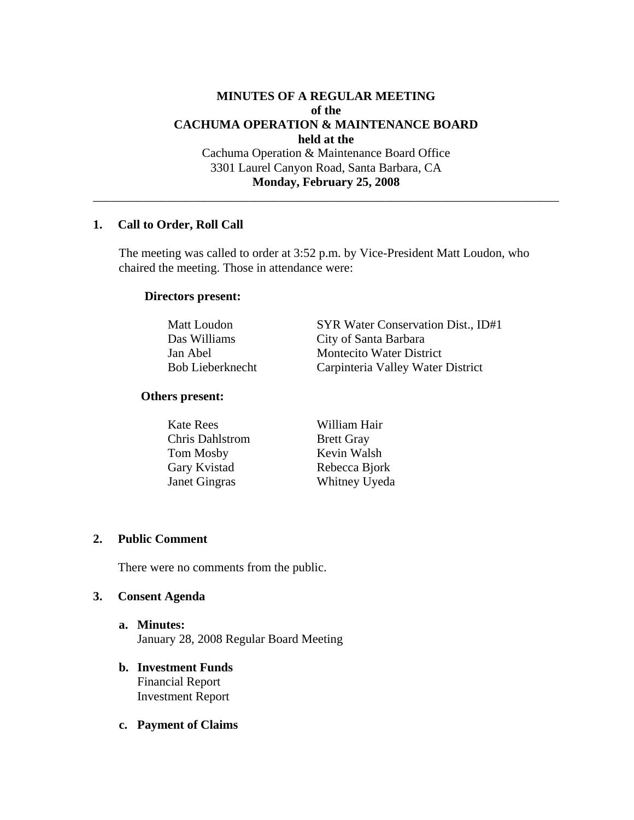# **MINUTES OF A REGULAR MEETING of the CACHUMA OPERATION & MAINTENANCE BOARD held at the**  Cachuma Operation & Maintenance Board Office 3301 Laurel Canyon Road, Santa Barbara, CA

#### **Monday, February 25, 2008**

\_\_\_\_\_\_\_\_\_\_\_\_\_\_\_\_\_\_\_\_\_\_\_\_\_\_\_\_\_\_\_\_\_\_\_\_\_\_\_\_\_\_\_\_\_\_\_\_\_\_\_\_\_\_\_\_\_\_\_\_\_\_\_\_\_\_\_\_\_\_\_\_\_\_\_

### **1. Call to Order, Roll Call**

 The meeting was called to order at 3:52 p.m. by Vice-President Matt Loudon, who chaired the meeting. Those in attendance were:

#### **Directors present:**

Matt Loudon SYR Water Conservation Dist., ID#1 Das Williams City of Santa Barbara Jan Abel Montecito Water District Bob Lieberknecht Carpinteria Valley Water District

#### **Others present:**

 Kate Rees William Hair Chris Dahlstrom Brett Gray Tom Mosby Kevin Walsh Gary Kvistad Rebecca Bjork Janet Gingras Whitney Uyeda

#### **2. Public Comment**

There were no comments from the public.

#### **3. Consent Agenda**

- **a. Minutes:** January 28, 2008 Regular Board Meeting
- **b. Investment Funds**  Financial Report Investment Report
- **c. Payment of Claims**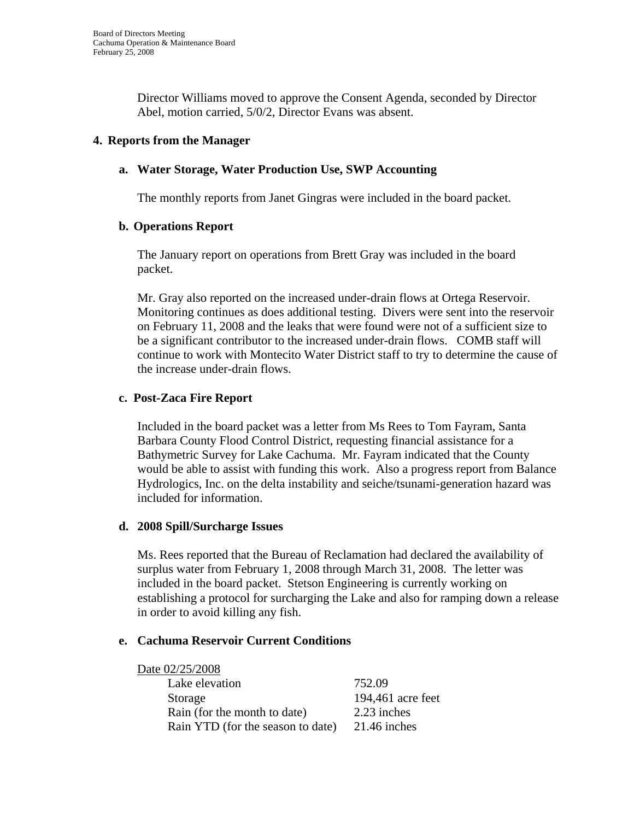Director Williams moved to approve the Consent Agenda, seconded by Director Abel, motion carried, 5/0/2, Director Evans was absent.

# **4. Reports from the Manager**

# **a. Water Storage, Water Production Use, SWP Accounting**

The monthly reports from Janet Gingras were included in the board packet.

### **b. Operations Report**

The January report on operations from Brett Gray was included in the board packet.

Mr. Gray also reported on the increased under-drain flows at Ortega Reservoir. Monitoring continues as does additional testing. Divers were sent into the reservoir on February 11, 2008 and the leaks that were found were not of a sufficient size to be a significant contributor to the increased under-drain flows. COMB staff will continue to work with Montecito Water District staff to try to determine the cause of the increase under-drain flows.

# **c. Post-Zaca Fire Report**

Included in the board packet was a letter from Ms Rees to Tom Fayram, Santa Barbara County Flood Control District, requesting financial assistance for a Bathymetric Survey for Lake Cachuma. Mr. Fayram indicated that the County would be able to assist with funding this work. Also a progress report from Balance Hydrologics, Inc. on the delta instability and seiche/tsunami-generation hazard was included for information.

### **d. 2008 Spill/Surcharge Issues**

Ms. Rees reported that the Bureau of Reclamation had declared the availability of surplus water from February 1, 2008 through March 31, 2008. The letter was included in the board packet. Stetson Engineering is currently working on establishing a protocol for surcharging the Lake and also for ramping down a release in order to avoid killing any fish.

### **e. Cachuma Reservoir Current Conditions**

 Date 02/25/2008 Lake elevation 752.09 Storage 194,461 acre feet Rain (for the month to date) 2.23 inches Rain YTD (for the season to date) 21.46 inches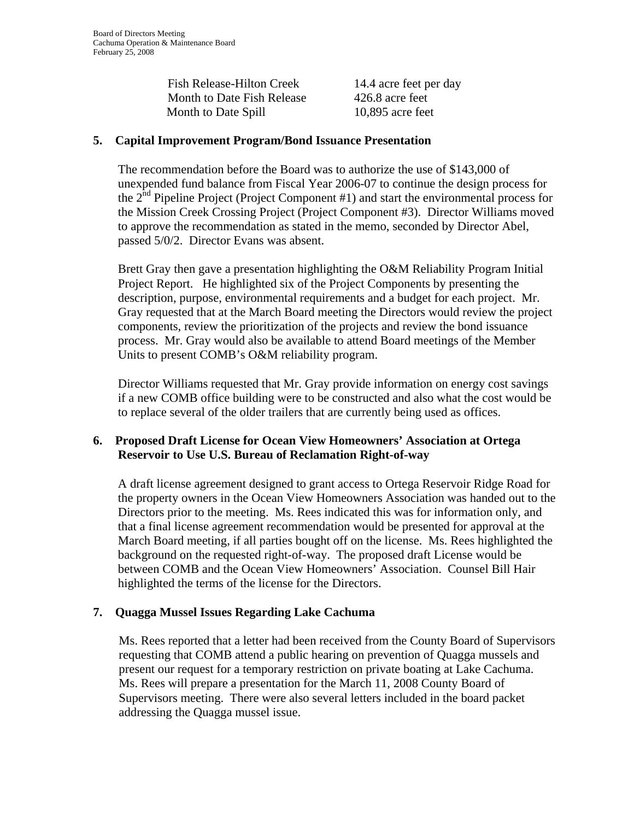| <b>Fish Release-Hilton Creek</b> | 14.4 |
|----------------------------------|------|
| Month to Date Fish Release       | 426  |
| Month to Date Spill              | 10,8 |

4 acre feet per day  $6.8$  acre feet 895 acre feet

# **5. Capital Improvement Program/Bond Issuance Presentation**

The recommendation before the Board was to authorize the use of \$143,000 of unexpended fund balance from Fiscal Year 2006-07 to continue the design process for the  $2<sup>nd</sup>$  Pipeline Project (Project Component #1) and start the environmental process for the Mission Creek Crossing Project (Project Component #3). Director Williams moved to approve the recommendation as stated in the memo, seconded by Director Abel, passed 5/0/2. Director Evans was absent.

Brett Gray then gave a presentation highlighting the O&M Reliability Program Initial Project Report. He highlighted six of the Project Components by presenting the description, purpose, environmental requirements and a budget for each project. Mr. Gray requested that at the March Board meeting the Directors would review the project components, review the prioritization of the projects and review the bond issuance process. Mr. Gray would also be available to attend Board meetings of the Member Units to present COMB's O&M reliability program.

Director Williams requested that Mr. Gray provide information on energy cost savings if a new COMB office building were to be constructed and also what the cost would be to replace several of the older trailers that are currently being used as offices.

# **6. Proposed Draft License for Ocean View Homeowners' Association at Ortega Reservoir to Use U.S. Bureau of Reclamation Right-of-way**

A draft license agreement designed to grant access to Ortega Reservoir Ridge Road for the property owners in the Ocean View Homeowners Association was handed out to the Directors prior to the meeting. Ms. Rees indicated this was for information only, and that a final license agreement recommendation would be presented for approval at the March Board meeting, if all parties bought off on the license. Ms. Rees highlighted the background on the requested right-of-way. The proposed draft License would be between COMB and the Ocean View Homeowners' Association. Counsel Bill Hair highlighted the terms of the license for the Directors.

# **7. Quagga Mussel Issues Regarding Lake Cachuma**

Ms. Rees reported that a letter had been received from the County Board of Supervisors requesting that COMB attend a public hearing on prevention of Quagga mussels and present our request for a temporary restriction on private boating at Lake Cachuma. Ms. Rees will prepare a presentation for the March 11, 2008 County Board of Supervisors meeting. There were also several letters included in the board packet addressing the Quagga mussel issue.